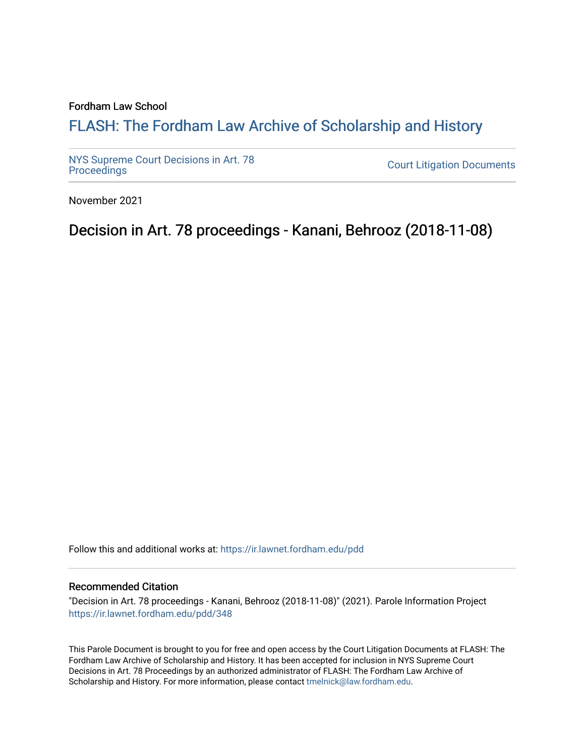### Fordham Law School

# FLASH: The For[dham Law Archive of Scholarship and Hist](https://ir.lawnet.fordham.edu/)ory

[NYS Supreme Court Decisions in Art. 78](https://ir.lawnet.fordham.edu/pdd)

**Court Litigation Documents** 

November 2021

# Decision in Art. 78 proceedings - Kanani, Behrooz (2018-11-08)

Follow this and additional works at: [https://ir.lawnet.fordham.edu/pdd](https://ir.lawnet.fordham.edu/pdd?utm_source=ir.lawnet.fordham.edu%2Fpdd%2F348&utm_medium=PDF&utm_campaign=PDFCoverPages)

### Recommended Citation

"Decision in Art. 78 proceedings - Kanani, Behrooz (2018-11-08)" (2021). Parole Information Project [https://ir.lawnet.fordham.edu/pdd/348](https://ir.lawnet.fordham.edu/pdd/348?utm_source=ir.lawnet.fordham.edu%2Fpdd%2F348&utm_medium=PDF&utm_campaign=PDFCoverPages)

This Parole Document is brought to you for free and open access by the Court Litigation Documents at FLASH: The Fordham Law Archive of Scholarship and History. It has been accepted for inclusion in NYS Supreme Court Decisions in Art. 78 Proceedings by an authorized administrator of FLASH: The Fordham Law Archive of Scholarship and History. For more information, please contact [tmelnick@law.fordham.edu](mailto:tmelnick@law.fordham.edu).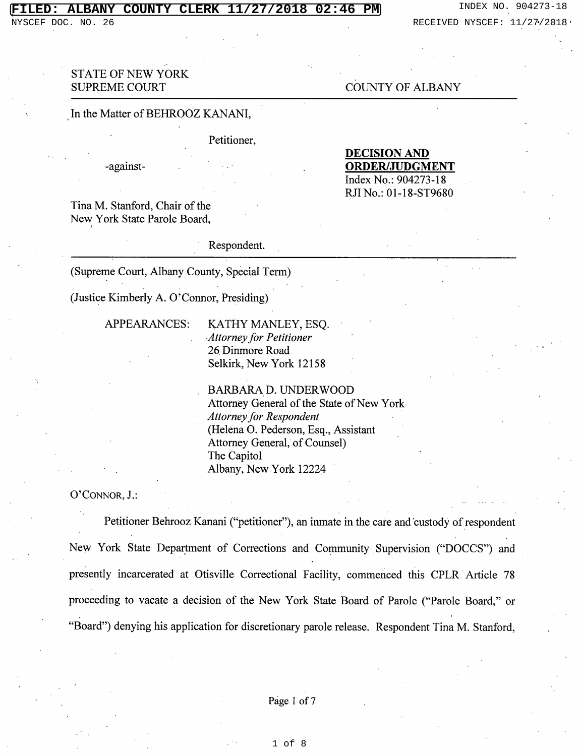### **FILED: ALBANY CLERK 11/27/2018 02:46 PM** INDEX NO. 904273-18

## STATE OF NEW YORK SUPREME COURT

In the Matter of BEHROOZ KANANI,

Petitioner,

-against-

Tina M. Stanford, Chair of the New York State Parole Board,

### Respondent.

(Supreme Court, Albany County, Special Term)

(Justice Kimberly A. O'Connor, Presiding)

APPEARANCES: KATHY MANLEY, ESQ. *Attorney for Petitioner*  26 Dinmore Road Selkirk, New York 12158

> BARBARA D. UNDERWOOD Attorney General of the State of New York *Attorney for Respondent* · (Helena 0. Pederson, Esq., Assistant Attorney General, of Counsel) The Capitol Albany, New York 12224

O'CONNOR, J.:

Petitioner Behrooz Kanani ("petitioner"), an inmate in the care and custody of respondent New York State Department of Corrections and Community Supervision ("DOCCS") and presently incarcerated at Otisville Correctional Facility, commenced this CPLR Article 78 proceeding to vacate a decision of the New York State Board of Parole ("Parole Board," or "Board") denying his application for discretionary parole release. Respondent Tina M. Stanford,

Page 1 of 7

### 1 of 8

### COUNTY OF ALBANY

**DECISION AND ORDER/JUDGMENT**  Index No.: 904273-18 RJI No.: 01-18-ST9680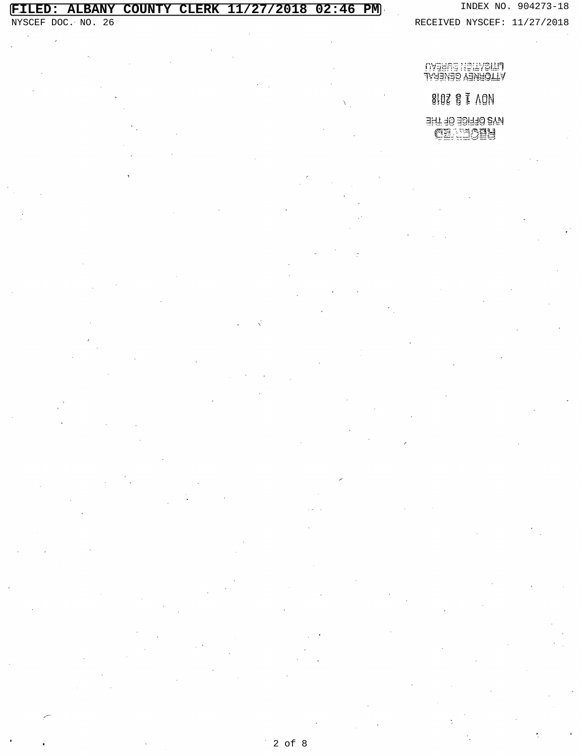# **FILED: ALBANY COUNTY CLERK 11/27/2018 02:46 PM** INDEX NO. 904273-18<br>NYSCEF DOC. NO. 26<br>RECEIVED NYSCEF: 11/27/2018

,-

RECEIVED NYSCEF: 11/27/2018

<u>ia anno tha ceneral</u><br>Linguado anno ta

**BIOS & I VOW** 

**::!HJ: ~Q :".J§!~~g §1\N CEAHOOM** 

2 of 8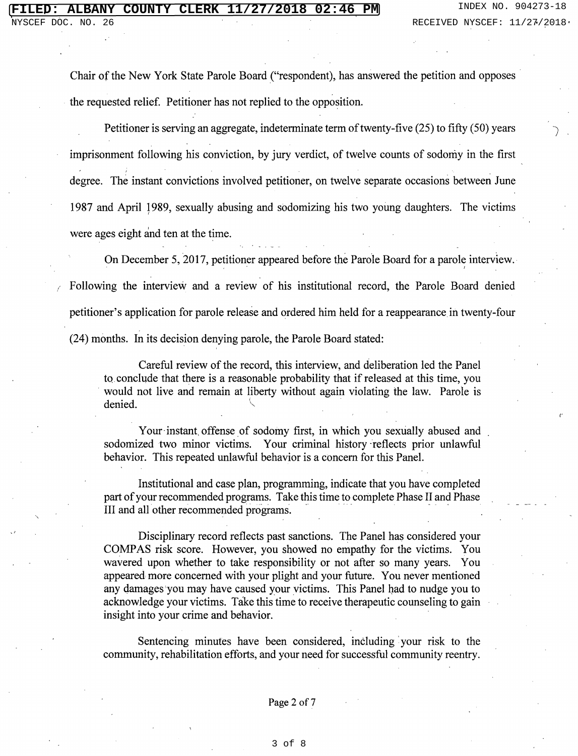('

Chair of the New York State Parole Board ("respondent), has answered the petition and opposes the requested relief. Petitioner has not replied to the opposition.

Petitioner is serving an aggregate, indeterminate term of twenty-five (25) to fifty (50) years imprisonment following his conviction, by jury verdict, of twelve counts of sodomy in the first degree. The instant convictions involved petitioner, on twelve separate occasions between June 1987 and April 1989, sexually abusing and sodomizing his two young daughters. The victims were ages eight and ten at the time.

On December 5, 2017, petitioner appeared before the Parole Board for a parole interview. Following the interview and a review of his institutional record, the Parole Board denied petitioner's application for parole release and ordered him held for a reappearance in twenty-four (24) months. In its decision denying parole, the Parole Board stated:

Careful review of the record, this interview, and deliberation led the Panel to conclude that there is a reasonable probability that if released at this time, you would not live and remain at liberty without again violating the law. Parole is denied.

Your instant offense of sodomy first, in which you sexually abused and sodomized two minor victims. Your criminal history reflects prior unlawful behavior. This repeated unlawful behavior is a concern for this Panel.

Institutional and case plan, programming, indicate that you have completed part of your recommended programs. Take this time to complete Phase II and Phase III and all other recommended programs.

Disciplinary record reflects past sanctions. The Panel has considered your COMP AS risk score. However, you showed no empathy for the victims. You wavered upon whether to take responsibility or not after so many years. You appeared more concerned with your plight and your future. You never mentioned any damages you may have caused your victims. This Panel had to nudge you to acknowledge your victims. Take this time to receive therapeutic counseling to gain insight into your crime and behavior.

Sentencing minutes have been considered, including your risk to the community, rehabilitation efforts, and your need for successful community reentry.

Page 2 of 7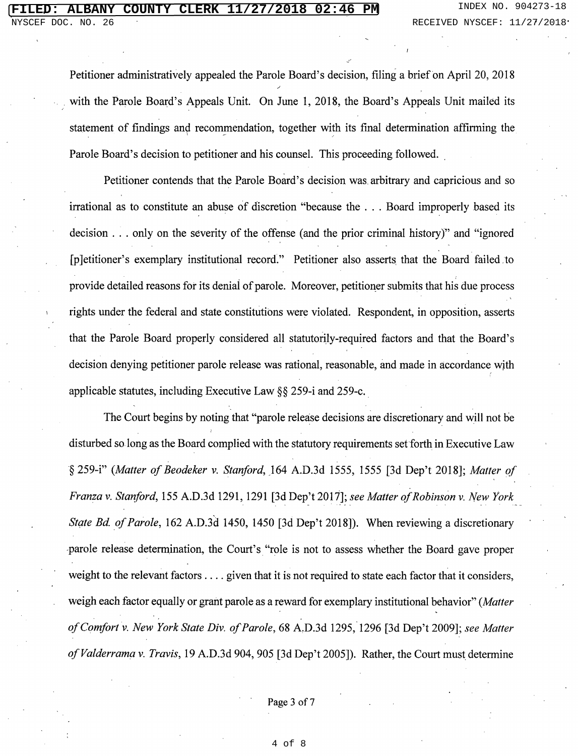Petitioner administratively appealed the Parole Board's decision, filing a brief on April 20, 2018 with the Parole Board's Appeals Unit. On June 1, 2018, the Board's Appeals Unit mailed its statement of findings and recommendation, together with its final determination affirming the ' \ -' -' Parole Board's decision to petitioner and his counsel. This proceeding followed.

Petitioner contends that the Parole Board's decision was arbitrary and capricious and so irrational as to constitute an abuse of discretion "because the . . . Board improperly based its decision ... only on the severity of the offense (and the prior criminal history)" and "ignored [p]etitioner's exemplary institutional record." Petitioner also asserts that the Board failed to provide detailed reasons for its denial of parole. Moreover, petitioner submits that his due process rights under the federal and state constitutions were violated. Respondent, in opposition, asserts that the Parole Board properly considered all statutorily-required factors and that the Board's decision denying petitioner parole release was rational, reasonable, and made in accordance wjth applicable statutes, including Executive Law§§ 259-i and 259-c.

The Court begins by noting that "parole release decisions are discretionary and will not be disturbed solong as the Board complied with the statutory requirements set forth in Executive Law § 259-i" *(Matter of Beodeker v. Stanford, 164 A.D.3d 1555, 1555 [3d Dep't 2018]; Matter of Franza v. Stanford, 155 A.D.3d 1291, 1291 [3d Dep't 2017]; see Matter of Robinson v. New York State Bd. of Parole, 162 A.D.3d 1450, 1450 [3d Dep't 2018]). When reviewing a discretionary* -parole release determination, the Court's "role is not to assess whether the Board gave proper weight to the relevant factors . . . . given that it is not required to state each factor that it considers, weigh each factor equally or grant parole as a reward for exemplary institutional behavior" *(Matter of Comfort v. New York State Div. of Parole, 68 A.D.3d 1295, 1296 [3d Dep't 2009]; see Matter of Valderrama v. Travis,* 19 A.D.3d 904, 905 [3d Dep't 2005]). Rather, the Court must. determine

Page 3 of 7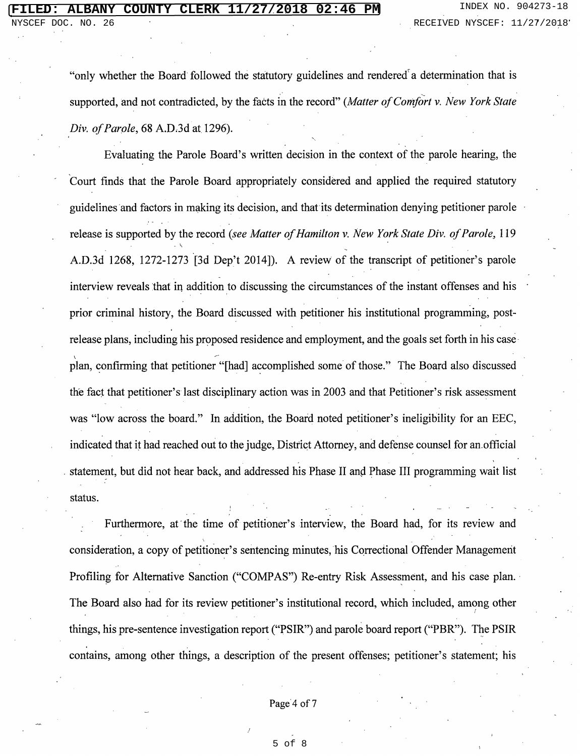"only whether the Board followed the statutory guidelines and rendered a determination that is supported, and not contradicted, by the facts in the record" *(Matter of Comfort* V. *New York State Div. of Parole,* 68 A.D.3d at 1296).

Evaluating the Parole Board's written decision in the context of the parole hearing, the Court finds that the Parole Board appropriately considered and applied the required statutory guidelines and factors in making its decision, and thatits determination denying petitioner parole release is supported by the record *(see Matter of Hamilton v. New York State Div. of Parole,* 119 - \ A.D.3d 1268, 1272-1273 [3d Dep't 2014]). A review of the transcript of petitioner's parole interview reveals that in addition to discussing the circumstances of the instant offenses and his prior criminal history, the Board discussed with petitioner his institutional programming, postrelease plans, including his proposed residence and employment, and the goals set forth in his case plan, confirming that petitioner "[had] accomplished some of those." The Board also discussed tne fact that petitioner's last disciplinary action was in 2003 and that Petitioner's risk assessment was "low across the board." In addition, the Board noted petitioner's ineligibility for an EEC, indicated that it had reached out to the judge, District Attorney, and defense counsel for an official statement, but did not hear back, and addressed his Phase II and Phase III programming wait list status.

Furthermore, at the time of petitioner's interview, the Board had, for its review and consideration, a copy of petitioner's sentencing minutes, his Correctional Offender Managemerit Profiling for Alternative Sanction ("COMPAS") Re-entry Risk Assessment, and his case plan. The Board also had for its review petitioner's institutional record, which included, among other things, his pre-sentence investigation report ("PSIR") and parole board report ("PBR"). The PSIR contains, among other things, a description of the present offenses; petitioner's statement; his

Page 4 of 7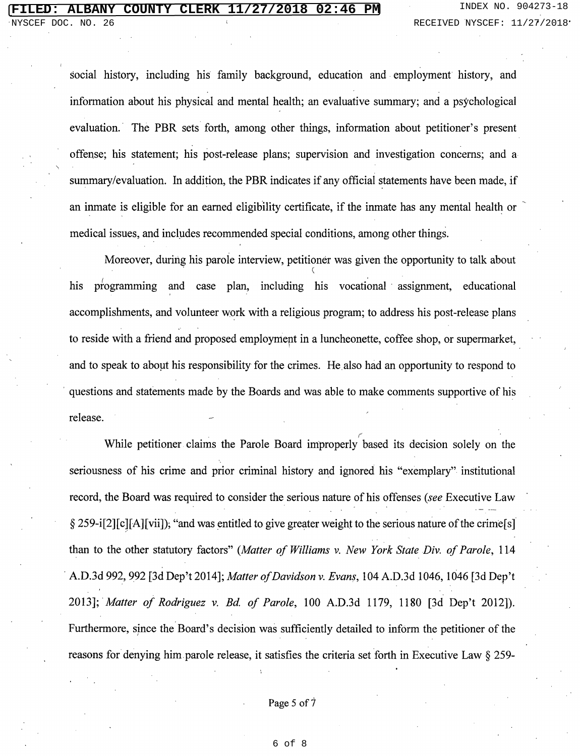# **FILED: ALBANY COUNTY CLERK 11/27/2018 02:46 PM** INDEX NO. 904273-18

social history, including his family background, education and. employment history, and information about his physical and mental health; an evaluative summary; and a psychological evaluation. The PBR sets forth, among other things, information about petitioner's present offense; his statement; his post-release plans; supervision and investigation concerns; and a summary/evaluation. In addition, the PBR indicates if any official statements have been made, if an inmate is eligible for an earned eligibility certificate, if the inmate has any mental health or medical issues, and includes recommended special conditions, among other things.

Moreover, during his parole interview, petitioner was given the opportunity to talk about  $\mathcal{L}$  (and the set of  $\mathcal{L}$  ) and  $\mathcal{L}$  (and  $\mathcal{L}$  ) and  $\mathcal{L}$ his programming and case plan, including his vocational assignment, educational accomplishments, and volunteer work with a religious program; to address his post-release plans to reside with a friend and proposed employment in a luncheonette, coffee shop, or supermarket, and to speak to about his responsibility for the crimes. He also had an opportunity to respond to questions and statements made by the Boards and was able to make comments supportive of his release.

,· While petitioner claims the Parole Board improperly based its decision solely on the seriousness of his crime and prior criminal history and ignored his "exemplary" institutional record, the Board was required to consider the serious nature of his offenses *(see* Executive Law  $\S 259$ -i[2][c][A][vii]); "and was entitled to give greater weight to the serious nature of the crime[s] than to the other statutory factors" *(Matter of Williams v. New York State Div. of Parole,* 114 · A.D.3d 992,992 [3d Dep't 2014]; *Matter of Davidson v. Evans,* 104 A.D.3d 1046, 1046 [3d Dep't 2013]; · *Matter of Rodriguez v. Bd. of Parole,* 100 A.D.3d 1179, 1180 [3d Dep't 2012]). Furthermore, since the Board's decision was sufficiently detailed to inform the petitioner of the reasons for denying him parole release, it satisfies the criteria set forth in Executive Law § 259-

Page 5 of *1*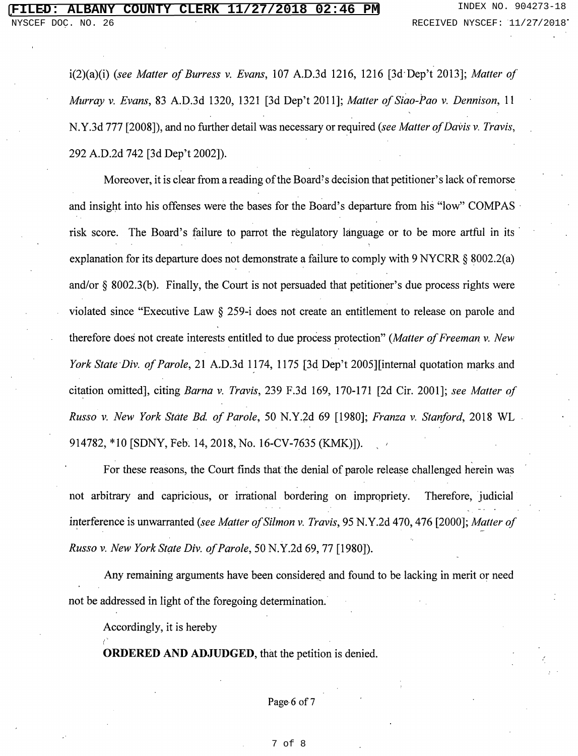i(2)(a)(i) *(see Matter of Burress v. Evans,* 107 A.D.3d 1216, 1216 [3d·Dep't 2013]; *Matter of Murray* V. *Evans,* 83 A.D.3d 1320, 1321 [3d Dep't 2011]; *Matter of Siew-Pao* V. *Dennison,* <sup>11</sup> N. Y .3d 777 [2008]), and no further detail was necessary or required *(see Matter of Davis v. Travis,*  292 A.D.2d 742 [3d Dep't 2002]).

Moreover, it is clear from a reading of the Board's decision that petitioner's lack of remorse and insight into his offenses were the bases for the Board's departure from his "low" COMPAS risk score. The Board's failure to parrot the regulatory language or to be more artful in its explanation for its departure does not demonstrate a failure to comply with 9 NYCRR § 8002.2(a) and/or§ 8002.3(b). Finally, the Court is not persuaded that petitioner's due process rights were violated since "Executive Law § 259-i does not create an entitlement to release on parole and therefore does not create interests entitled to due process protection" *(Matter of Freeman v. New York State'Div. of Parole,* 21 A.D.3d 1174, 1175 [3d Dep't 2005][intemal quotation marks and citation omitted], citing *Barna v. Travis,* 239 F.3d 169, 170-171 [2d Cir. 2001]; *see Matter of Russo v. New York State Bd of Parole,* 50 N.Y.2d 69 [1980]; *Franza v. Stanford,* 2018 WL 914782, \*10 [SDNY, Feb. 14, 2018, No. 16-CV-7635 (KMK)]).

For these reasons, the Court finds that the denial of parole release challenged herein was not arbitrary and capricious, or irrational bordering on impropriety. Therefore, judicial interference is unwarranted *(see Matter of Silmon v. Travis, 95 N.Y.2d 470, 476 [2000]; Matter of Russo v. New York State Div. of Parole,* 50 N.Y.2d 69, 77 [1980]).

Any remaining arguments have been considered and found to be lacking in merit or need not be addressed in light of the foregoing determination.

Accordingly, it is hereby

*(* 

**ORDERED AND ADJUDGED,** that the petition is denied.

Page 6 of 7